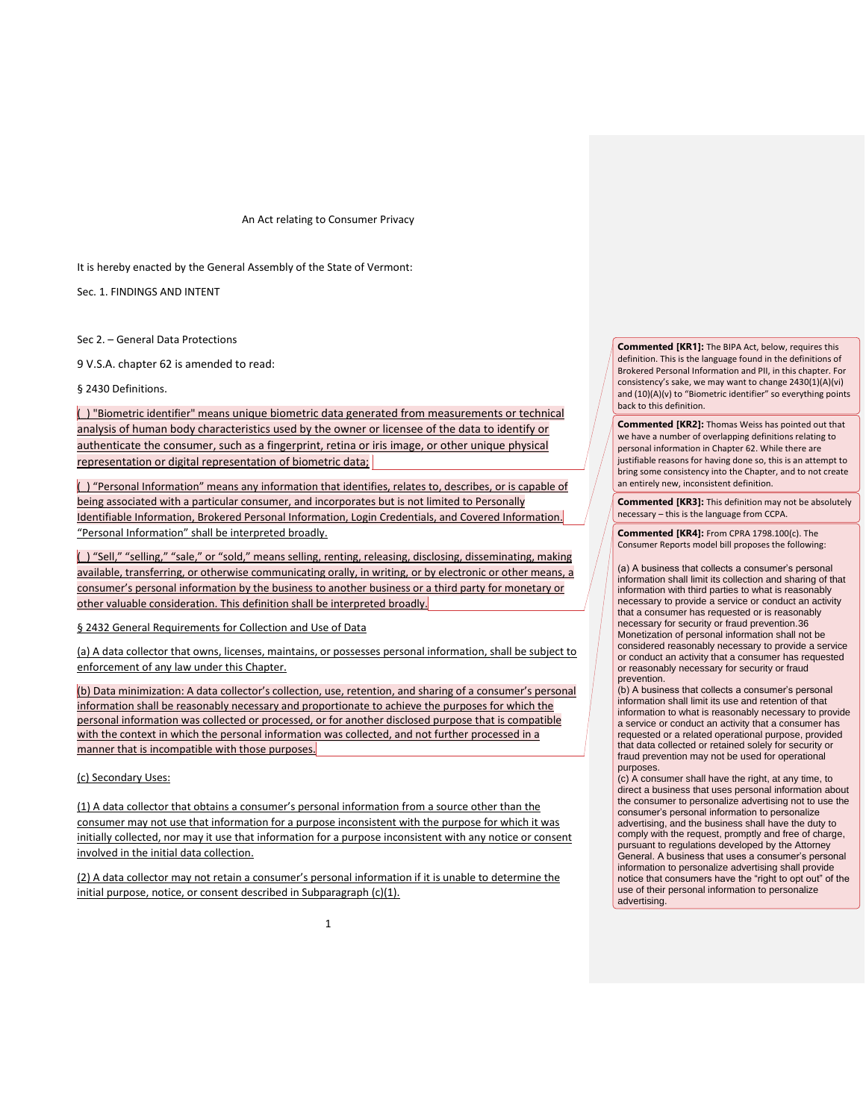An Act relating to Consumer Privacy

It is hereby enacted by the General Assembly of the State of Vermont:

Sec. 1. FINDINGS AND INTENT

Sec 2. – General Data Protections

9 V.S.A. chapter 62 is amended to read:

§ 2430 Definitions.

(\_) "Biometric identifier" means unique biometric data generated from measurements or technical analysis of human body characteristics used by the owner or licensee of the data to identify or authenticate the consumer, such as a fingerprint, retina or iris image, or other unique physical representation or digital representation of biometric data;

(\_) "Personal Information" means any information that identifies, relates to, describes, or is capable of being associated with a particular consumer, and incorporates but is not limited to Personally Identifiable Information, Brokered Personal Information, Login Credentials, and Covered Information. "Personal Information" shall be interpreted broadly.

(\_) "Sell," "selling," "sale," or "sold," means selling, renting, releasing, disclosing, disseminating, making available, transferring, or otherwise communicating orally, in writing, or by electronic or other means, a consumer's personal information by the business to another business or a third party for monetary or other valuable consideration. This definition shall be interpreted broadly.

§ 2432 General Requirements for Collection and Use of Data

(a) A data collector that owns, licenses, maintains, or possesses personal information, shall be subject to enforcement of any law under this Chapter.

(b) Data minimization: A data collector's collection, use, retention, and sharing of a consumer's personal information shall be reasonably necessary and proportionate to achieve the purposes for which the personal information was collected or processed, or for another disclosed purpose that is compatible with the context in which the personal information was collected, and not further processed in a manner that is incompatible with those purposes.

(c) Secondary Uses:

(1) A data collector that obtains a consumer's personal information from a source other than the consumer may not use that information for a purpose inconsistent with the purpose for which it was initially collected, nor may it use that information for a purpose inconsistent with any notice or consent involved in the initial data collection.

(2) A data collector may not retain a consumer's personal information if it is unable to determine the initial purpose, notice, or consent described in Subparagraph (c)(1).

**Commented [KR1]:** The BIPA Act, below, requires this definition. This is the language found in the definitions of Brokered Personal Information and PII, in this chapter. For consistency's sake, we may want to change 2430(1)(A)(vi) and (10)(A)(v) to "Biometric identifier" so everything points back to this definition.

**Commented [KR2]:** Thomas Weiss has pointed out that we have a number of overlapping definitions relating to personal information in Chapter 62. While there are justifiable reasons for having done so, this is an attempt to bring some consistency into the Chapter, and to not create an entirely new, inconsistent definition.

**Commented [KR3]:** This definition may not be absolutely necessary – this is the language from CCPA.

**Commented [KR4]:** From CPRA 1798.100(c). The Consumer Reports model bill proposes the following:

(a) A business that collects a consumer's personal information shall limit its collection and sharing of that information with third parties to what is reasonably necessary to provide a service or conduct an activity that a consumer has requested or is reasonably necessary for security or fraud prevention.36 Monetization of personal information shall not be considered reasonably necessary to provide a service or conduct an activity that a consumer has requested or reasonably necessary for security or fraud prevention.

(b) A business that collects a consumer's personal information shall limit its use and retention of that information to what is reasonably necessary to provide a service or conduct an activity that a consumer has requested or a related operational purpose, provided that data collected or retained solely for security or fraud prevention may not be used for operational purposes.

(c) A consumer shall have the right, at any time, to direct a business that uses personal information about the consumer to personalize advertising not to use the consumer's personal information to personalize advertising, and the business shall have the duty to comply with the request, promptly and free of charge, pursuant to regulations developed by the Attorney General. A business that uses a consumer's personal information to personalize advertising shall provide notice that consumers have the "right to opt out" of the use of their personal information to personalize advertising.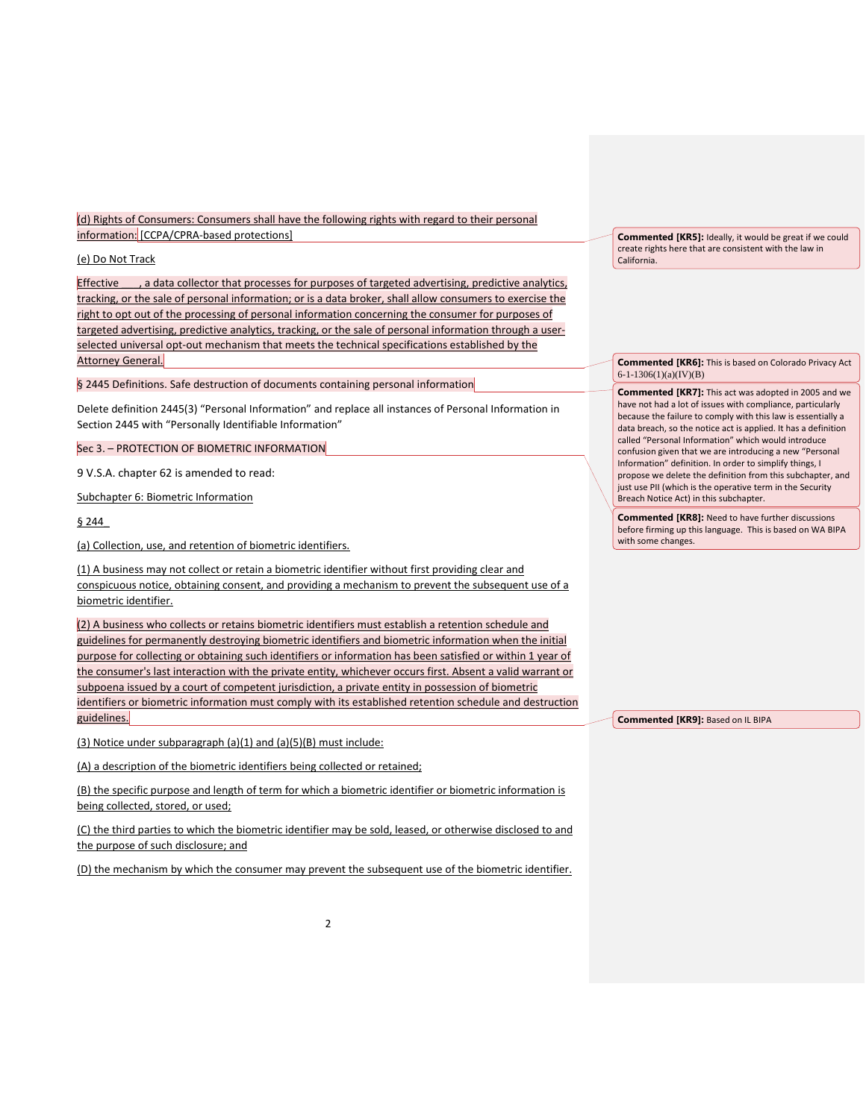(d) Rights of Consumers: Consumers shall have the following rights with regard to their personal information: [CCPA/CPRA-based protections]

## (e) Do Not Track

Effective \_\_\_, a data collector that processes for purposes of targeted advertising, predictive analytics, tracking, or the sale of personal information; or is a data broker, shall allow consumers to exercise the right to opt out of the processing of personal information concerning the consumer for purposes of targeted advertising, predictive analytics, tracking, or the sale of personal information through a userselected universal opt-out mechanism that meets the technical specifications established by the Attorney General.

§ 2445 Definitions. Safe destruction of documents containing personal information

Delete definition 2445(3) "Personal Information" and replace all instances of Personal Information in Section 2445 with "Personally Identifiable Information"

Sec 3. – PROTECTION OF BIOMETRIC INFORMATION

9 V.S.A. chapter 62 is amended to read:

Subchapter 6: Biometric Information

§ 244\_

(a) Collection, use, and retention of biometric identifiers.

(1) A business may not collect or retain a biometric identifier without first providing clear and conspicuous notice, obtaining consent, and providing a mechanism to prevent the subsequent use of a biometric identifier.

(2) A business who collects or retains biometric identifiers must establish a retention schedule and guidelines for permanently destroying biometric identifiers and biometric information when the initial purpose for collecting or obtaining such identifiers or information has been satisfied or within 1 year of the consumer's last interaction with the private entity, whichever occurs first. Absent a valid warrant or subpoena issued by a court of competent jurisdiction, a private entity in possession of biometric identifiers or biometric information must comply with its established retention schedule and destruction guidelines.

(3) Notice under subparagraph (a)(1) and (a)(5)(B) must include:

(A) a description of the biometric identifiers being collected or retained;

(B) the specific purpose and length of term for which a biometric identifier or biometric information is being collected, stored, or used;

(C) the third parties to which the biometric identifier may be sold, leased, or otherwise disclosed to and the purpose of such disclosure; and

(D) the mechanism by which the consumer may prevent the subsequent use of the biometric identifier.

**Commented [KR5]:** Ideally, it would be great if we could create rights here that are consistent with the law in California.

**Commented [KR6]:** This is based on Colorado Privacy Act 6-1-1306(1)(a)(IV)(B)

**Commented [KR7]:** This act was adopted in 2005 and we have not had a lot of issues with compliance, particularly because the failure to comply with this law is essentially a data breach, so the notice act is applied. It has a definition called "Personal Information" which would introduce confusion given that we are introducing a new "Personal Information" definition. In order to simplify things, I propose we delete the definition from this subchapter, and just use PII (which is the operative term in the Security Breach Notice Act) in this subchapter.

**Commented [KR8]:** Need to have further discussions before firming up this language. This is based on WA BIPA with some changes.

**Commented [KR9]:** Based on IL BIPA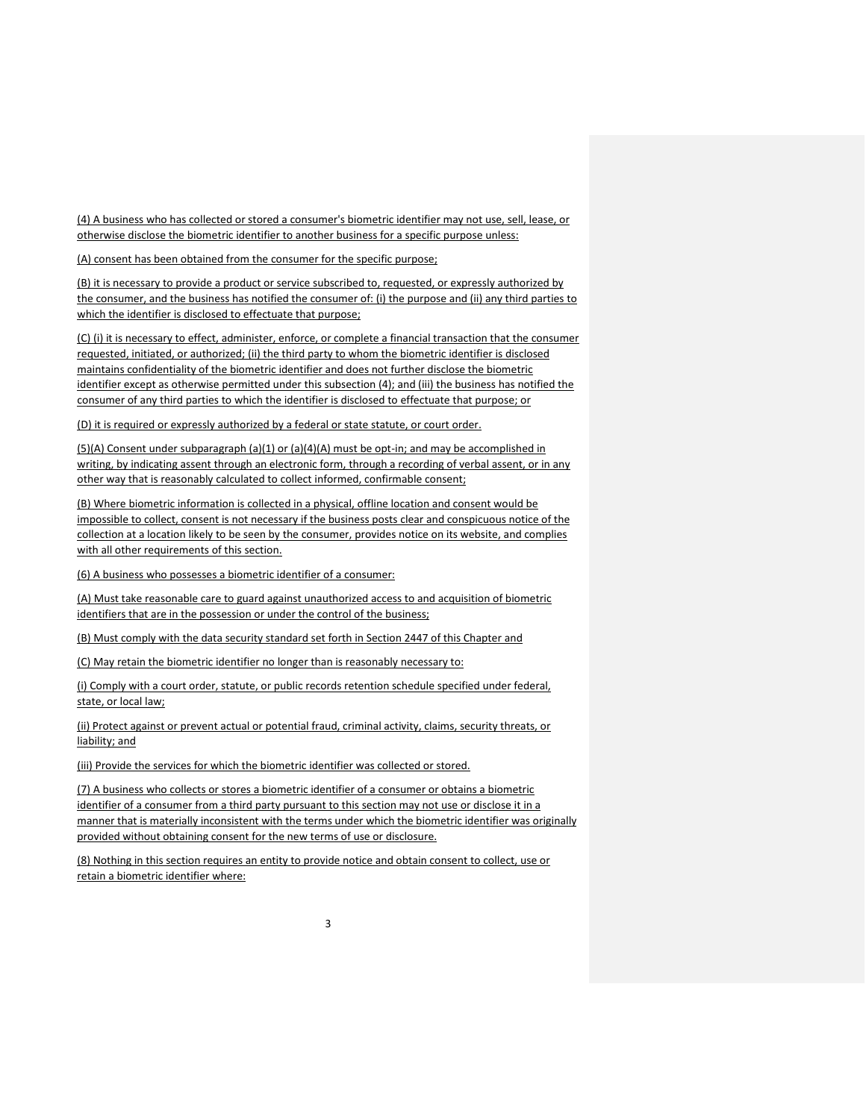(4) A business who has collected or stored a consumer's biometric identifier may not use, sell, lease, or otherwise disclose the biometric identifier to another business for a specific purpose unless:

(A) consent has been obtained from the consumer for the specific purpose;

(B) it is necessary to provide a product or service subscribed to, requested, or expressly authorized by the consumer, and the business has notified the consumer of: (i) the purpose and (ii) any third parties to which the identifier is disclosed to effectuate that purpose;

(C) (i) it is necessary to effect, administer, enforce, or complete a financial transaction that the consumer requested, initiated, or authorized; (ii) the third party to whom the biometric identifier is disclosed maintains confidentiality of the biometric identifier and does not further disclose the biometric identifier except as otherwise permitted under this subsection (4); and (iii) the business has notified the consumer of any third parties to which the identifier is disclosed to effectuate that purpose; or

(D) it is required or expressly authorized by a federal or state statute, or court order.

(5)(A) Consent under subparagraph (a)(1) or (a)(4)(A) must be opt-in; and may be accomplished in writing, by indicating assent through an electronic form, through a recording of verbal assent, or in any other way that is reasonably calculated to collect informed, confirmable consent;

(B) Where biometric information is collected in a physical, offline location and consent would be impossible to collect, consent is not necessary if the business posts clear and conspicuous notice of the collection at a location likely to be seen by the consumer, provides notice on its website, and complies with all other requirements of this section.

(6) A business who possesses a biometric identifier of a consumer:

(A) Must take reasonable care to guard against unauthorized access to and acquisition of biometric identifiers that are in the possession or under the control of the business;

(B) Must comply with the data security standard set forth in Section 2447 of this Chapter and

(C) May retain the biometric identifier no longer than is reasonably necessary to:

(i) Comply with a court order, statute, or public records retention schedule specified under federal, state, or local law;

(ii) Protect against or prevent actual or potential fraud, criminal activity, claims, security threats, or liability; and

(iii) Provide the services for which the biometric identifier was collected or stored.

(7) A business who collects or stores a biometric identifier of a consumer or obtains a biometric identifier of a consumer from a third party pursuant to this section may not use or disclose it in a manner that is materially inconsistent with the terms under which the biometric identifier was originally provided without obtaining consent for the new terms of use or disclosure.

(8) Nothing in this section requires an entity to provide notice and obtain consent to collect, use or retain a biometric identifier where: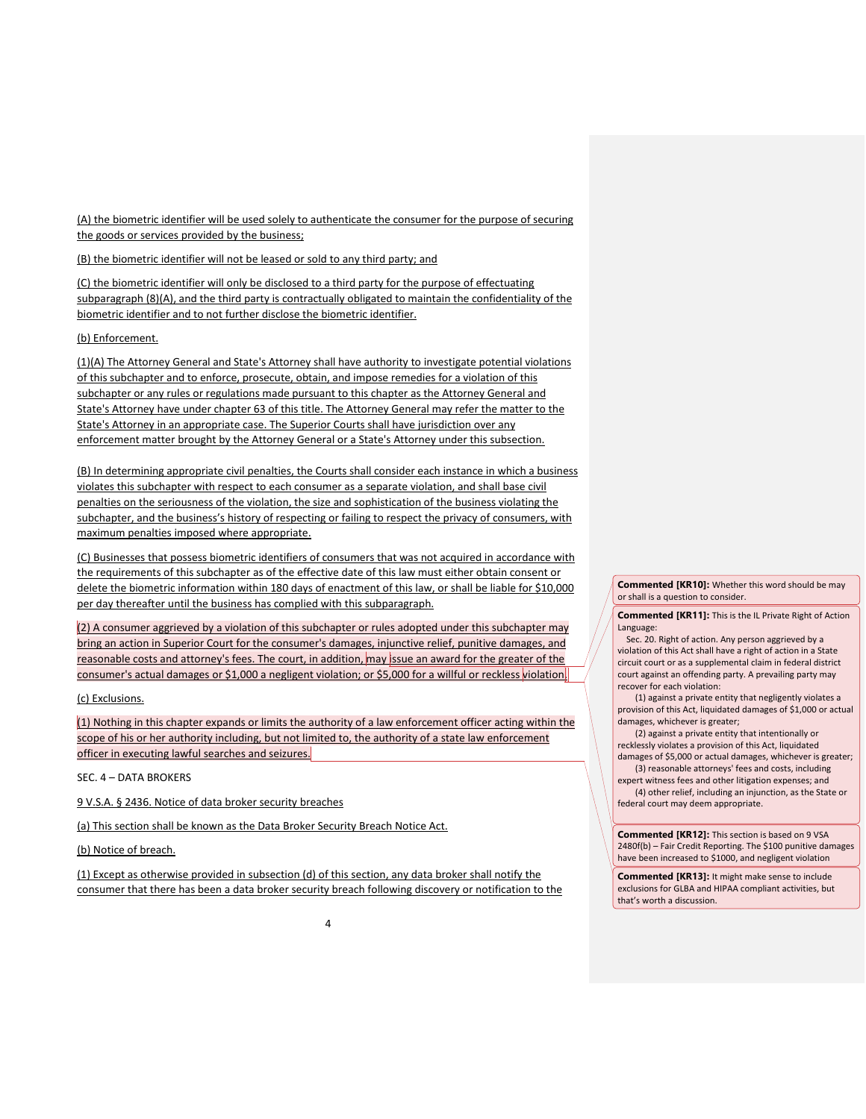(A) the biometric identifier will be used solely to authenticate the consumer for the purpose of securing the goods or services provided by the business;

(B) the biometric identifier will not be leased or sold to any third party; and

(C) the biometric identifier will only be disclosed to a third party for the purpose of effectuating subparagraph (8)(A), and the third party is contractually obligated to maintain the confidentiality of the biometric identifier and to not further disclose the biometric identifier.

(b) Enforcement.

(1)(A) The Attorney General and State's Attorney shall have authority to investigate potential violations of this subchapter and to enforce, prosecute, obtain, and impose remedies for a violation of this subchapter or any rules or regulations made pursuant to this chapter as the Attorney General and State's Attorney have under chapter 63 of this title. The Attorney General may refer the matter to the State's Attorney in an appropriate case. The Superior Courts shall have jurisdiction over any enforcement matter brought by the Attorney General or a State's Attorney under this subsection.

(B) In determining appropriate civil penalties, the Courts shall consider each instance in which a business violates this subchapter with respect to each consumer as a separate violation, and shall base civil penalties on the seriousness of the violation, the size and sophistication of the business violating the subchapter, and the business's history of respecting or failing to respect the privacy of consumers, with maximum penalties imposed where appropriate.

(C) Businesses that possess biometric identifiers of consumers that was not acquired in accordance with the requirements of this subchapter as of the effective date of this law must either obtain consent or delete the biometric information within 180 days of enactment of this law, or shall be liable for \$10,000 per day thereafter until the business has complied with this subparagraph.

(2) A consumer aggrieved by a violation of this subchapter or rules adopted under this subchapter may bring an action in Superior Court for the consumer's damages, injunctive relief, punitive damages, and reasonable costs and attorney's fees. The court, in addition, may issue an award for the greater of the consumer's actual damages or \$1,000 a negligent violation; or \$5,000 for a willful or reckless violation.

# (c) Exclusions.

(1) Nothing in this chapter expands or limits the authority of a law enforcement officer acting within the scope of his or her authority including, but not limited to, the authority of a state law enforcement officer in executing lawful searches and seizures.

SEC. 4 – DATA BROKERS

9 V.S.A. § 2436. Notice of data broker security breaches

(a) This section shall be known as the Data Broker Security Breach Notice Act.

(b) Notice of breach.

(1) Except as otherwise provided in subsection (d) of this section, any data broker shall notify the consumer that there has been a data broker security breach following discovery or notification to the **Commented [KR10]:** Whether this word should be may or shall is a question to consider.

**Commented [KR11]:** This is the IL Private Right of Action Language:

 Sec. 20. Right of action. Any person aggrieved by a violation of this Act shall have a right of action in a State circuit court or as a supplemental claim in federal district court against an offending party. A prevailing party may recover for each violation:

 (1) against a private entity that negligently violates a provision of this Act, liquidated damages of \$1,000 or actual damages, whichever is greater;

 (2) against a private entity that intentionally or recklessly violates a provision of this Act, liquidated damages of \$5,000 or actual damages, whichever is greater;

 (3) reasonable attorneys' fees and costs, including expert witness fees and other litigation expenses; and

 (4) other relief, including an injunction, as the State or federal court may deem appropriate.

**Commented [KR12]:** This section is based on 9 VSA 2480f(b) – Fair Credit Reporting. The \$100 punitive damages have been increased to \$1000, and negligent violation

**Commented [KR13]:** It might make sense to include exclusions for GLBA and HIPAA compliant activities, but that's worth a discussion.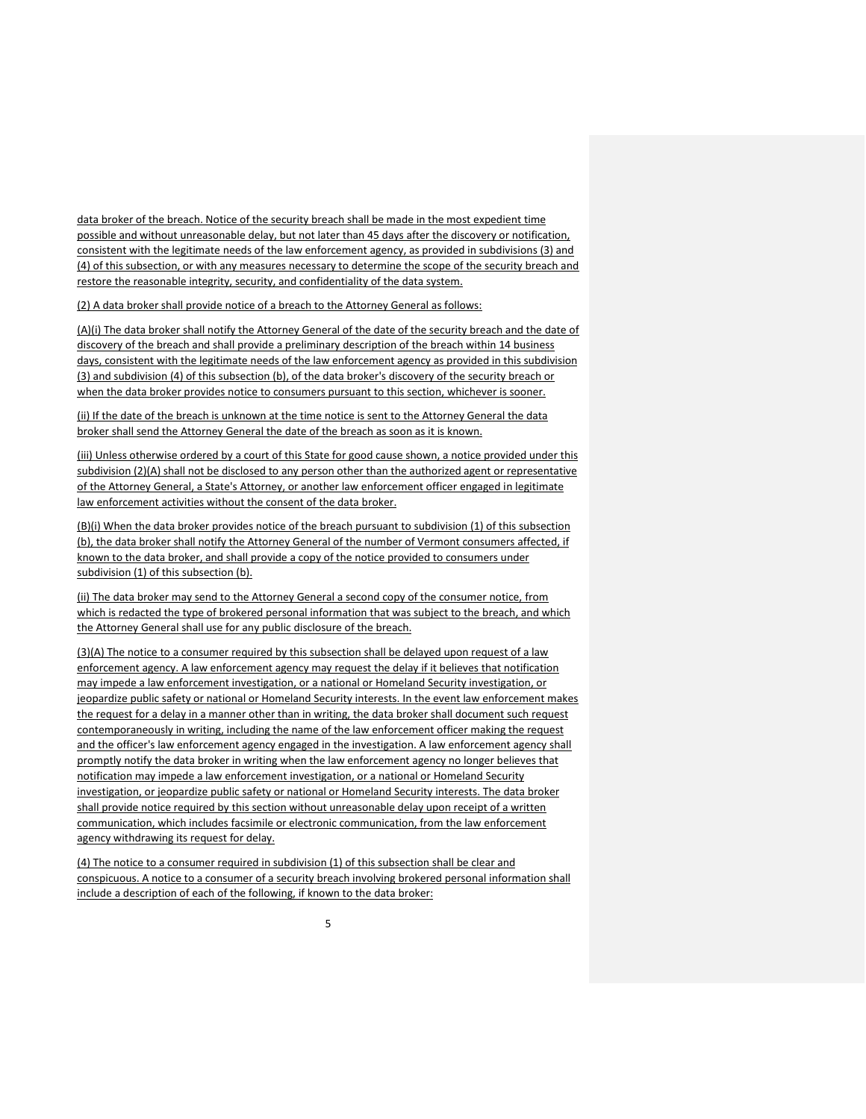data broker of the breach. Notice of the security breach shall be made in the most expedient time possible and without unreasonable delay, but not later than 45 days after the discovery or notification, consistent with the legitimate needs of the law enforcement agency, as provided in subdivisions (3) and (4) of this subsection, or with any measures necessary to determine the scope of the security breach and restore the reasonable integrity, security, and confidentiality of the data system.

(2) A data broker shall provide notice of a breach to the Attorney General as follows:

(A)(i) The data broker shall notify the Attorney General of the date of the security breach and the date of discovery of the breach and shall provide a preliminary description of the breach within 14 business days, consistent with the legitimate needs of the law enforcement agency as provided in this subdivision (3) and subdivision (4) of this subsection (b), of the data broker's discovery of the security breach or when the data broker provides notice to consumers pursuant to this section, whichever is sooner.

(ii) If the date of the breach is unknown at the time notice is sent to the Attorney General the data broker shall send the Attorney General the date of the breach as soon as it is known.

(iii) Unless otherwise ordered by a court of this State for good cause shown, a notice provided under this subdivision (2)(A) shall not be disclosed to any person other than the authorized agent or representative of the Attorney General, a State's Attorney, or another law enforcement officer engaged in legitimate law enforcement activities without the consent of the data broker.

(B)(i) When the data broker provides notice of the breach pursuant to subdivision (1) of this subsection (b), the data broker shall notify the Attorney General of the number of Vermont consumers affected, if known to the data broker, and shall provide a copy of the notice provided to consumers under subdivision (1) of this subsection (b).

(ii) The data broker may send to the Attorney General a second copy of the consumer notice, from which is redacted the type of brokered personal information that was subject to the breach, and which the Attorney General shall use for any public disclosure of the breach.

(3)(A) The notice to a consumer required by this subsection shall be delayed upon request of a law enforcement agency. A law enforcement agency may request the delay if it believes that notification may impede a law enforcement investigation, or a national or Homeland Security investigation, or jeopardize public safety or national or Homeland Security interests. In the event law enforcement makes the request for a delay in a manner other than in writing, the data broker shall document such request contemporaneously in writing, including the name of the law enforcement officer making the request and the officer's law enforcement agency engaged in the investigation. A law enforcement agency shall promptly notify the data broker in writing when the law enforcement agency no longer believes that notification may impede a law enforcement investigation, or a national or Homeland Security investigation, or jeopardize public safety or national or Homeland Security interests. The data broker shall provide notice required by this section without unreasonable delay upon receipt of a written communication, which includes facsimile or electronic communication, from the law enforcement agency withdrawing its request for delay.

(4) The notice to a consumer required in subdivision (1) of this subsection shall be clear and conspicuous. A notice to a consumer of a security breach involving brokered personal information shall include a description of each of the following, if known to the data broker: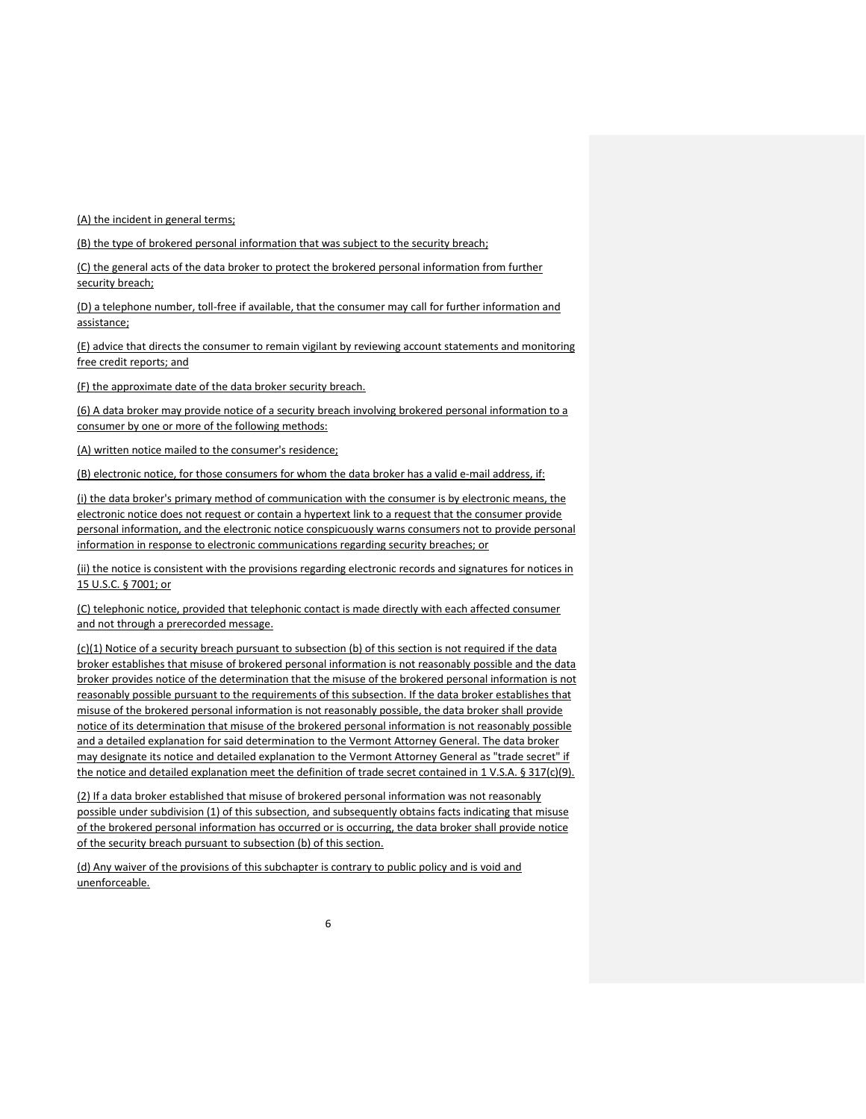(A) the incident in general terms;

(B) the type of brokered personal information that was subject to the security breach;

(C) the general acts of the data broker to protect the brokered personal information from further security breach;

(D) a telephone number, toll-free if available, that the consumer may call for further information and assistance;

(E) advice that directs the consumer to remain vigilant by reviewing account statements and monitoring free credit reports; and

(F) the approximate date of the data broker security breach.

(6) A data broker may provide notice of a security breach involving brokered personal information to a consumer by one or more of the following methods:

(A) written notice mailed to the consumer's residence;

(B) electronic notice, for those consumers for whom the data broker has a valid e-mail address, if:

(i) the data broker's primary method of communication with the consumer is by electronic means, the electronic notice does not request or contain a hypertext link to a request that the consumer provide personal information, and the electronic notice conspicuously warns consumers not to provide personal information in response to electronic communications regarding security breaches; or

(ii) the notice is consistent with the provisions regarding electronic records and signatures for notices in 15 U.S.C. § 7001; or

(C) telephonic notice, provided that telephonic contact is made directly with each affected consumer and not through a prerecorded message.

(c)(1) Notice of a security breach pursuant to subsection (b) of this section is not required if the data broker establishes that misuse of brokered personal information is not reasonably possible and the data broker provides notice of the determination that the misuse of the brokered personal information is not reasonably possible pursuant to the requirements of this subsection. If the data broker establishes that misuse of the brokered personal information is not reasonably possible, the data broker shall provide notice of its determination that misuse of the brokered personal information is not reasonably possible and a detailed explanation for said determination to the Vermont Attorney General. The data broker may designate its notice and detailed explanation to the Vermont Attorney General as "trade secret" if the notice and detailed explanation meet the definition of trade secret contained in 1 V.S.A. § 317(c)(9).

(2) If a data broker established that misuse of brokered personal information was not reasonably possible under subdivision (1) of this subsection, and subsequently obtains facts indicating that misuse of the brokered personal information has occurred or is occurring, the data broker shall provide notice of the security breach pursuant to subsection (b) of this section.

(d) Any waiver of the provisions of this subchapter is contrary to public policy and is void and unenforceable.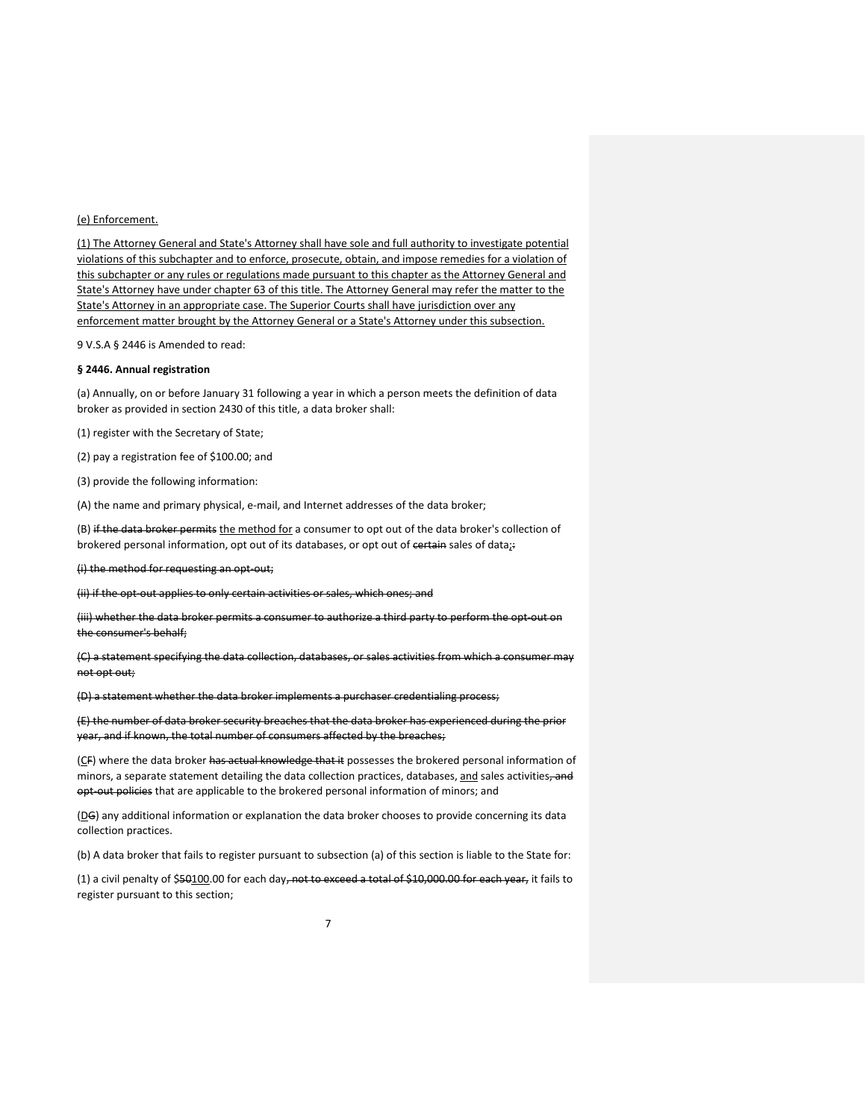### (e) Enforcement.

(1) The Attorney General and State's Attorney shall have sole and full authority to investigate potential violations of this subchapter and to enforce, prosecute, obtain, and impose remedies for a violation of this subchapter or any rules or regulations made pursuant to this chapter as the Attorney General and State's Attorney have under chapter 63 of this title. The Attorney General may refer the matter to the State's Attorney in an appropriate case. The Superior Courts shall have jurisdiction over any enforcement matter brought by the Attorney General or a State's Attorney under this subsection.

9 V.S.A § 2446 is Amended to read:

### **§ 2446. Annual registration**

(a) Annually, on or before January 31 following a year in which a person meets the definition of data broker as provided in section 2430 of this title, a data broker shall:

(1) register with the Secretary of State;

(2) pay a registration fee of \$100.00; and

(3) provide the following information:

(A) the name and primary physical, e-mail, and Internet addresses of the data broker;

(B) if the data broker permits the method for a consumer to opt out of the data broker's collection of brokered personal information, opt out of its databases, or opt out of certain sales of data;

(i) the method for requesting an opt-out;

(ii) if the opt-out applies to only certain activities or sales, which ones; and

(iii) whether the data broker permits a consumer to authorize a third party to perform the opt-out on the consumer's behalf;

(C) a statement specifying the data collection, databases, or sales activities from which a consumer may not opt out;

(D) a statement whether the data broker implements a purchaser credentialing process;

(E) the number of data broker security breaches that the data broker has experienced during the prior year, and if known, the total number of consumers affected by the breaches;

(CF) where the data broker has actual knowledge that it possesses the brokered personal information of minors, a separate statement detailing the data collection practices, databases, and sales activities, and opt-out policies that are applicable to the brokered personal information of minors; and

(DG) any additional information or explanation the data broker chooses to provide concerning its data collection practices.

(b) A data broker that fails to register pursuant to subsection (a) of this section is liable to the State for:

(1) a civil penalty of \$50100.00 for each day, not to exceed a total of \$10,000.00 for each year, it fails to register pursuant to this section;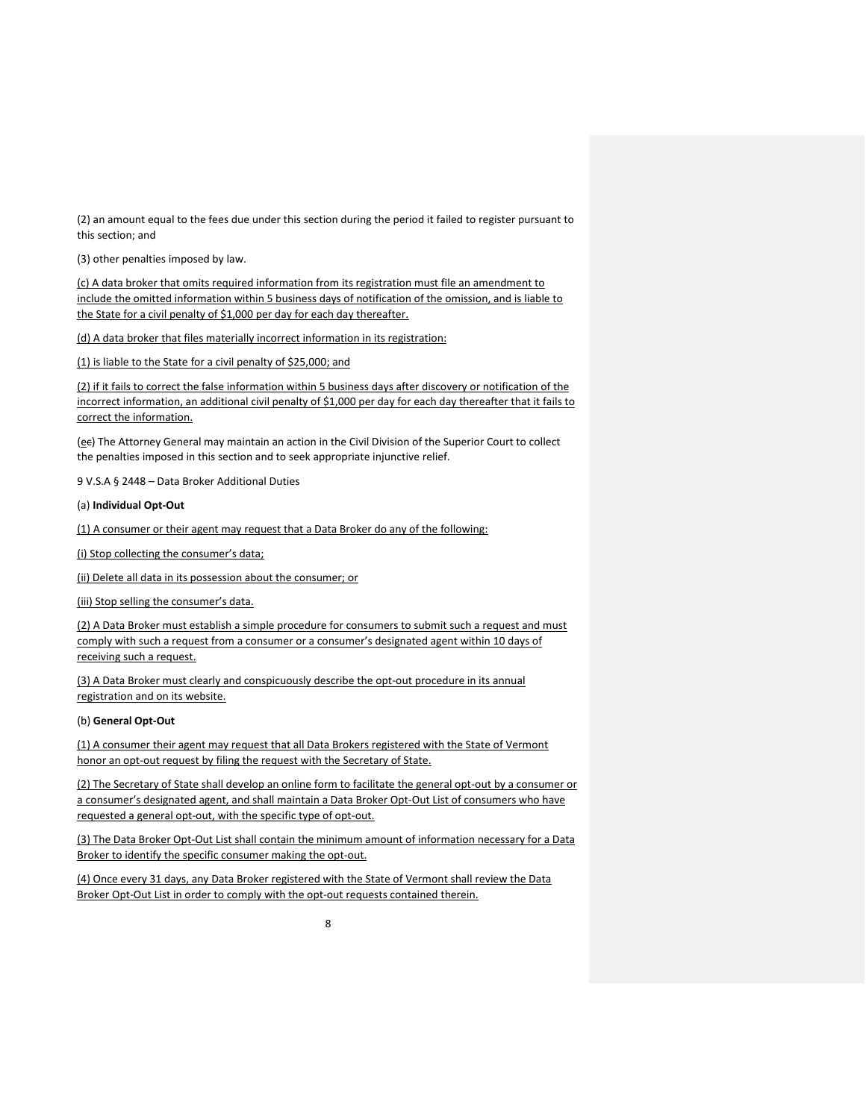(2) an amount equal to the fees due under this section during the period it failed to register pursuant to this section; and

(3) other penalties imposed by law.

(c) A data broker that omits required information from its registration must file an amendment to include the omitted information within 5 business days of notification of the omission, and is liable to the State for a civil penalty of \$1,000 per day for each day thereafter.

(d) A data broker that files materially incorrect information in its registration:

(1) is liable to the State for a civil penalty of \$25,000; and

(2) if it fails to correct the false information within 5 business days after discovery or notification of the incorrect information, an additional civil penalty of \$1,000 per day for each day thereafter that it fails to correct the information.

(ee) The Attorney General may maintain an action in the Civil Division of the Superior Court to collect the penalties imposed in this section and to seek appropriate injunctive relief.

9 V.S.A § 2448 – Data Broker Additional Duties

(a) **Individual Opt-Out**

(1) A consumer or their agent may request that a Data Broker do any of the following:

(i) Stop collecting the consumer's data;

(ii) Delete all data in its possession about the consumer; or

(iii) Stop selling the consumer's data.

(2) A Data Broker must establish a simple procedure for consumers to submit such a request and must comply with such a request from a consumer or a consumer's designated agent within 10 days of receiving such a request.

(3) A Data Broker must clearly and conspicuously describe the opt-out procedure in its annual registration and on its website.

## (b) **General Opt-Out**

(1) A consumer their agent may request that all Data Brokers registered with the State of Vermont honor an opt-out request by filing the request with the Secretary of State.

(2) The Secretary of State shall develop an online form to facilitate the general opt-out by a consumer or a consumer's designated agent, and shall maintain a Data Broker Opt-Out List of consumers who have requested a general opt-out, with the specific type of opt-out.

(3) The Data Broker Opt-Out List shall contain the minimum amount of information necessary for a Data Broker to identify the specific consumer making the opt-out.

(4) Once every 31 days, any Data Broker registered with the State of Vermont shall review the Data Broker Opt-Out List in order to comply with the opt-out requests contained therein.